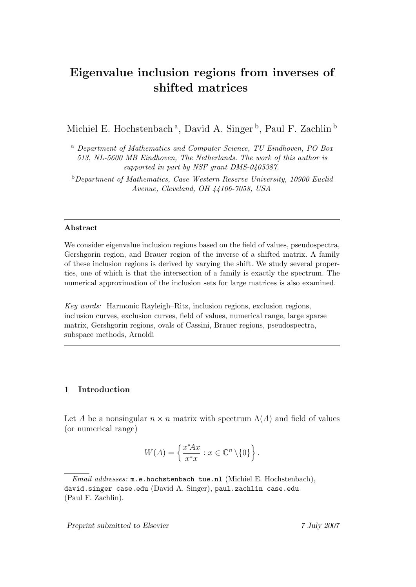# Eigenvalue inclusion regions from inverses of shifted matrices

Michiel E. Hochstenbach<sup>a</sup>, David A. Singer<sup>b</sup>, Paul F. Zachlin<sup>b</sup>

<sup>a</sup> Department of Mathematics and Computer Science, TU Eindhoven, PO Box 513, NL-5600 MB Eindhoven, The Netherlands. The work of this author is supported in part by NSF grant DMS-0405387.

<sup>b</sup>Department of Mathematics, Case Western Reserve University, 10900 Euclid Avenue, Cleveland, OH 44106-7058, USA

#### Abstract

We consider eigenvalue inclusion regions based on the field of values, pseudospectra, Gershgorin region, and Brauer region of the inverse of a shifted matrix. A family of these inclusion regions is derived by varying the shift. We study several properties, one of which is that the intersection of a family is exactly the spectrum. The numerical approximation of the inclusion sets for large matrices is also examined.

Key words: Harmonic Rayleigh–Ritz, inclusion regions, exclusion regions, inclusion curves, exclusion curves, field of values, numerical range, large sparse matrix, Gershgorin regions, ovals of Cassini, Brauer regions, pseudospectra, subspace methods, Arnoldi

## 1 Introduction

Let A be a nonsingular  $n \times n$  matrix with spectrum  $\Lambda(A)$  and field of values (or numerical range)

$$
W(A) = \left\{ \frac{x^* A x}{x^* x} : x \in \mathbb{C}^n \setminus \{0\} \right\}.
$$

Email addresses: m.e.hochstenbach tue.nl (Michiel E. Hochstenbach), david.singer case.edu (David A. Singer), paul.zachlin case.edu (Paul F. Zachlin).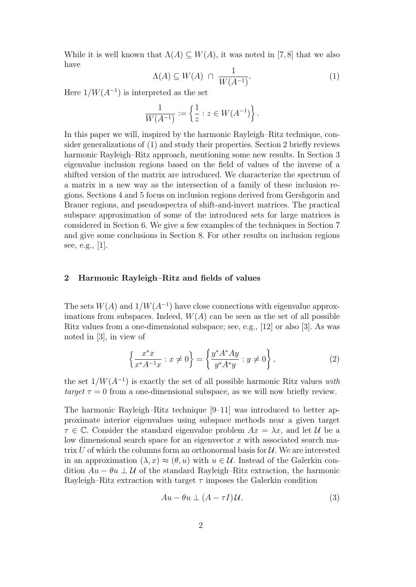While it is well known that  $\Lambda(A) \subseteq W(A)$ , it was noted in [7,8] that we also have

$$
\Lambda(A) \subseteq W(A) \cap \frac{1}{W(A^{-1})}.\tag{1}
$$

Here  $1/W(A^{-1})$  is interpreted as the set

$$
\frac{1}{W(A^{-1})} := \left\{ \frac{1}{z} : z \in W(A^{-1}) \right\}.
$$

In this paper we will, inspired by the harmonic Rayleigh–Ritz technique, consider generalizations of (1) and study their properties. Section 2 briefly reviews harmonic Rayleigh–Ritz approach, mentioning some new results. In Section 3 eigenvalue inclusion regions based on the field of values of the inverse of a shifted version of the matrix are introduced. We characterize the spectrum of a matrix in a new way as the intersection of a family of these inclusion regions. Sections 4 and 5 focus on inclusion regions derived from Gershgorin and Brauer regions, and pseudospectra of shift-and-invert matrices. The practical subspace approximation of some of the introduced sets for large matrices is considered in Section 6. We give a few examples of the techniques in Section 7 and give some conclusions in Section 8. For other results on inclusion regions see, e.g., [1].

# 2 Harmonic Rayleigh–Ritz and fields of values

The sets  $W(A)$  and  $1/W(A^{-1})$  have close connections with eigenvalue approximations from subspaces. Indeed,  $W(A)$  can be seen as the set of all possible Ritz values from a one-dimensional subspace; see, e.g., [12] or also [3]. As was noted in [3], in view of

$$
\left\{\frac{x^*x}{x^*A^{-1}x} : x \neq 0\right\} = \left\{\frac{y^*A^*Ay}{y^*A^*y} : y \neq 0\right\},\tag{2}
$$

the set  $1/W(A^{-1})$  is exactly the set of all possible harmonic Ritz values with target  $\tau = 0$  from a one-dimensional subspace, as we will now briefly review.

The harmonic Rayleigh–Ritz technique [9–11] was introduced to better approximate interior eigenvalues using subspace methods near a given target  $\tau \in \mathbb{C}$ . Consider the standard eigenvalue problem  $Ax = \lambda x$ , and let U be a low dimensional search space for an eigenvector  $x$  with associated search matrix U of which the columns form an orthonormal basis for  $U$ . We are interested in an approximation  $(\lambda, x) \approx (\theta, u)$  with  $u \in \mathcal{U}$ . Instead of the Galerkin condition  $Au - \theta u \perp U$  of the standard Rayleigh–Ritz extraction, the harmonic Rayleigh–Ritz extraction with target  $\tau$  imposes the Galerkin condition

$$
Au - \theta u \perp (A - \tau I)U.
$$
 (3)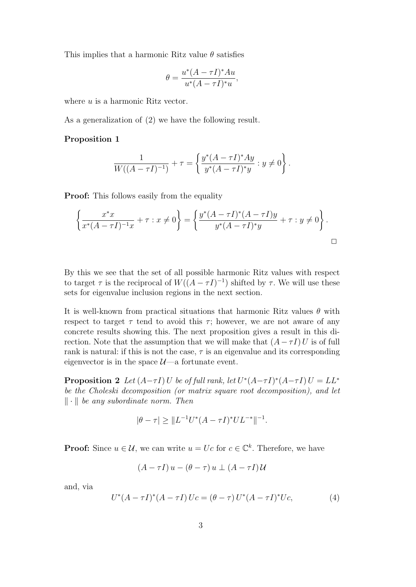This implies that a harmonic Ritz value  $\theta$  satisfies

$$
\theta = \frac{u^*(A - \tau I)^*Au}{u^*(A - \tau I)^*u},
$$

where u is a harmonic Ritz vector.

As a generalization of (2) we have the following result.

#### Proposition 1

$$
\frac{1}{W((A-\tau I)^{-1})} + \tau = \left\{ \frac{y^*(A-\tau I)^* Ay}{y^*(A-\tau I)^* y} : y \neq 0 \right\}.
$$

**Proof:** This follows easily from the equality

$$
\left\{\frac{x^*x}{x^*(A-\tau I)^{-1}x} + \tau : x \neq 0\right\} = \left\{\frac{y^*(A-\tau I)^*(A-\tau I)y}{y^*(A-\tau I)^*y} + \tau : y \neq 0\right\}.
$$

By this we see that the set of all possible harmonic Ritz values with respect to target  $\tau$  is the reciprocal of  $W((A - \tau I)^{-1})$  shifted by  $\tau$ . We will use these sets for eigenvalue inclusion regions in the next section.

It is well-known from practical situations that harmonic Ritz values  $\theta$  with respect to target  $\tau$  tend to avoid this  $\tau$ ; however, we are not aware of any concrete results showing this. The next proposition gives a result in this direction. Note that the assumption that we will make that  $(A - \tau I) U$  is of full rank is natural: if this is not the case,  $\tau$  is an eigenvalue and its corresponding eigenvector is in the space  $\mathcal{U}$ —a fortunate event.

**Proposition 2** Let  $(A-\tau I)U$  be of full rank, let  $U^*(A-\tau I)^*(A-\tau I)U = LL^*$ be the Choleski decomposition (or matrix square root decomposition), and let  $\|\cdot\|$  be any subordinate norm. Then

$$
|\theta - \tau| \ge \|L^{-1}U^*(A - \tau I)^* UL^{-*}\|^{-1}.
$$

**Proof:** Since  $u \in \mathcal{U}$ , we can write  $u = Uc$  for  $c \in \mathbb{C}^k$ . Therefore, we have

$$
(A - \tau I) u - (\theta - \tau) u \perp (A - \tau I) U
$$

and, via

$$
U^*(A - \tau I)^*(A - \tau I) Uc = (\theta - \tau) U^*(A - \tau I)^* Uc,
$$
\n(4)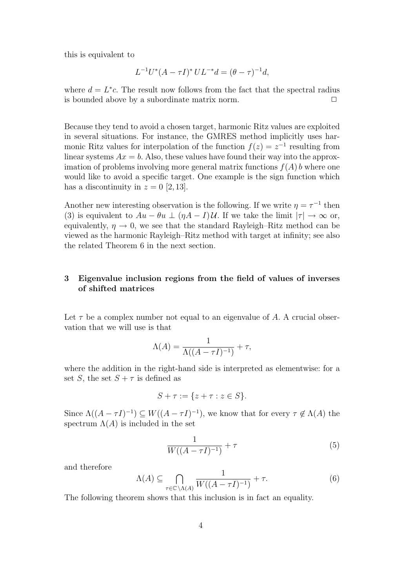this is equivalent to

$$
L^{-1}U^*(A - \tau I)^* UL^{-*}d = (\theta - \tau)^{-1}d,
$$

where  $d = L^*c$ . The result now follows from the fact that the spectral radius is bounded above by a subordinate matrix norm.  $\Box$ 

Because they tend to avoid a chosen target, harmonic Ritz values are exploited in several situations. For instance, the GMRES method implicitly uses harmonic Ritz values for interpolation of the function  $f(z) = z^{-1}$  resulting from linear systems  $Ax = b$ . Also, these values have found their way into the approximation of problems involving more general matrix functions  $f(A)$  b where one would like to avoid a specific target. One example is the sign function which has a discontinuity in  $z = 0$  [2, 13].

Another new interesting observation is the following. If we write  $\eta = \tau^{-1}$  then (3) is equivalent to  $Au - \theta u \perp (\eta A - I)U$ . If we take the limit  $|\tau| \to \infty$  or, equivalently,  $\eta \to 0$ , we see that the standard Rayleigh–Ritz method can be viewed as the harmonic Rayleigh–Ritz method with target at infinity; see also the related Theorem 6 in the next section.

# 3 Eigenvalue inclusion regions from the field of values of inverses of shifted matrices

Let  $\tau$  be a complex number not equal to an eigenvalue of A. A crucial observation that we will use is that

$$
\Lambda(A) = \frac{1}{\Lambda((A - \tau I)^{-1})} + \tau,
$$

where the addition in the right-hand side is interpreted as elementwise: for a set S, the set  $S + \tau$  is defined as

$$
S + \tau := \{ z + \tau : z \in S \}.
$$

Since  $\Lambda((A - \tau I)^{-1}) \subseteq W((A - \tau I)^{-1})$ , we know that for every  $\tau \notin \Lambda(A)$  the spectrum  $\Lambda(A)$  is included in the set

$$
\frac{1}{W((A-\tau I)^{-1})} + \tau \tag{5}
$$

and therefore

$$
\Lambda(A) \subseteq \bigcap_{\tau \in \mathbb{C} \backslash \Lambda(A)} \frac{1}{W((A - \tau I)^{-1})} + \tau. \tag{6}
$$

The following theorem shows that this inclusion is in fact an equality.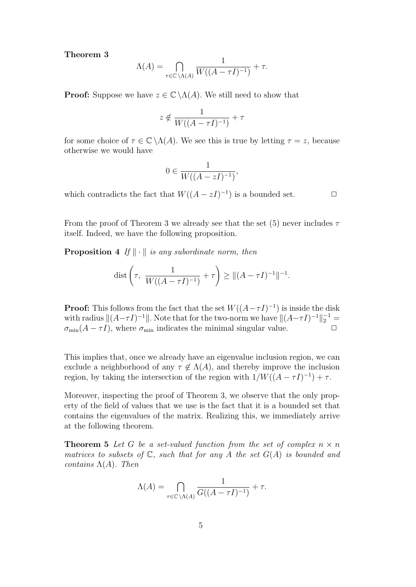#### Theorem 3

$$
\Lambda(A) = \bigcap_{\tau \in \mathbb{C} \backslash \Lambda(A)} \frac{1}{W((A - \tau I)^{-1})} + \tau.
$$

**Proof:** Suppose we have  $z \in \mathbb{C} \setminus \Lambda(A)$ . We still need to show that

$$
z \notin \frac{1}{W((A - \tau I)^{-1})} + \tau
$$

for some choice of  $\tau \in \mathbb{C} \backslash \Lambda(A)$ . We see this is true by letting  $\tau = z$ , because otherwise we would have

$$
0 \in \frac{1}{W((A-zI)^{-1})},
$$

which contradicts the fact that  $W((A - zI)^{-1})$  is a bounded set.  $\Box$ 

From the proof of Theorem 3 we already see that the set (5) never includes  $\tau$ itself. Indeed, we have the following proposition.

**Proposition 4** If  $\|\cdot\|$  is any subordinate norm, then

dist 
$$
\left(\tau, \frac{1}{W((A - \tau I)^{-1})} + \tau\right) \ge ||(A - \tau I)^{-1}||^{-1}.
$$

**Proof:** This follows from the fact that the set  $W((A - \tau I)^{-1})$  is inside the disk with radius  $||(A-\tau I)^{-1}||$ . Note that for the two-norm we have  $||(A-\tau I)^{-1}||_2^{-1}$  $\sigma_{\min}(A - \tau I)$ , where  $\sigma_{\min}$  indicates the minimal singular value.  $\Box$ 

This implies that, once we already have an eigenvalue inclusion region, we can exclude a neighborhood of any  $\tau \notin \Lambda(A)$ , and thereby improve the inclusion region, by taking the intersection of the region with  $1/W((A - \tau I)^{-1}) + \tau$ .

Moreover, inspecting the proof of Theorem 3, we observe that the only property of the field of values that we use is the fact that it is a bounded set that contains the eigenvalues of the matrix. Realizing this, we immediately arrive at the following theorem.

**Theorem 5** Let G be a set-valued function from the set of complex  $n \times n$ matrices to subsets of  $\mathbb{C}$ , such that for any A the set  $G(A)$  is bounded and contains  $\Lambda(A)$ . Then

$$
\Lambda(A) = \bigcap_{\tau \in \mathbb{C} \backslash \Lambda(A)} \frac{1}{G((A - \tau I)^{-1})} + \tau.
$$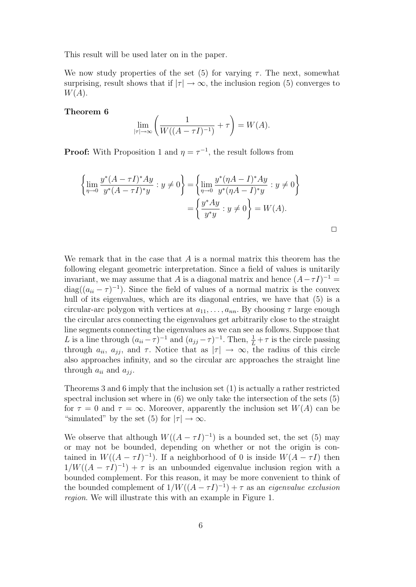This result will be used later on in the paper.

We now study properties of the set (5) for varying  $\tau$ . The next, somewhat surprising, result shows that if  $|\tau| \to \infty$ , the inclusion region (5) converges to  $W(A)$ .

# Theorem 6

$$
\lim_{|\tau| \to \infty} \left( \frac{1}{W((A - \tau I)^{-1})} + \tau \right) = W(A).
$$

**Proof:** With Proposition 1 and  $\eta = \tau^{-1}$ , the result follows from

$$
\left\{\lim_{\eta \to 0} \frac{y^*(A - \tau I)^* Ay}{y^*(A - \tau I)^* y} : y \neq 0\right\} = \left\{\lim_{\eta \to 0} \frac{y^*(\eta A - I)^* Ay}{y^*(\eta A - I)^* y} : y \neq 0\right\}
$$

$$
= \left\{\frac{y^* Ay}{y^* y} : y \neq 0\right\} = W(A).
$$

 $\Box$ 

We remark that in the case that  $A$  is a normal matrix this theorem has the following elegant geometric interpretation. Since a field of values is unitarily invariant, we may assume that A is a diagonal matrix and hence  $(A - \tau I)^{-1} =$  $diag((a_{ii} - \tau)^{-1})$ . Since the field of values of a normal matrix is the convex hull of its eigenvalues, which are its diagonal entries, we have that  $(5)$  is a circular-arc polygon with vertices at  $a_{11}, \ldots, a_{nn}$ . By choosing  $\tau$  large enough the circular arcs connecting the eigenvalues get arbitrarily close to the straight line segments connecting the eigenvalues as we can see as follows. Suppose that L is a line through  $(a_{ii} - \tau)^{-1}$  and  $(a_{jj} - \tau)^{-1}$ . Then,  $\frac{1}{L} + \tau$  is the circle passing through  $a_{ii}$ ,  $a_{jj}$ , and  $\tau$ . Notice that as  $|\tau| \to \infty$ , the radius of this circle also approaches infinity, and so the circular arc approaches the straight line through  $a_{ii}$  and  $a_{jj}$ .

Theorems 3 and 6 imply that the inclusion set (1) is actually a rather restricted spectral inclusion set where in (6) we only take the intersection of the sets (5) for  $\tau = 0$  and  $\tau = \infty$ . Moreover, apparently the inclusion set  $W(A)$  can be "simulated" by the set (5) for  $|\tau| \to \infty$ .

We observe that although  $W((A - \tau I)^{-1})$  is a bounded set, the set (5) may or may not be bounded, depending on whether or not the origin is contained in  $W((A - \tau I)^{-1})$ . If a neighborhood of 0 is inside  $W(A - \tau I)$  then  $1/W((A - \tau I)^{-1}) + \tau$  is an unbounded eigenvalue inclusion region with a bounded complement. For this reason, it may be more convenient to think of the bounded complement of  $1/W((A - \tau I)^{-1}) + \tau$  as an *eigenvalue exclusion* region. We will illustrate this with an example in Figure 1.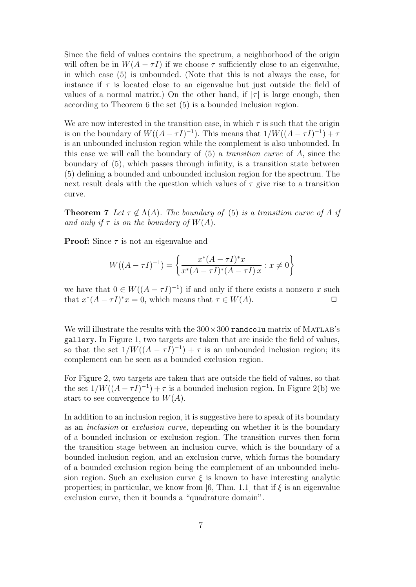Since the field of values contains the spectrum, a neighborhood of the origin will often be in  $W(A - \tau I)$  if we choose  $\tau$  sufficiently close to an eigenvalue, in which case (5) is unbounded. (Note that this is not always the case, for instance if  $\tau$  is located close to an eigenvalue but just outside the field of values of a normal matrix.) On the other hand, if  $|\tau|$  is large enough, then according to Theorem 6 the set (5) is a bounded inclusion region.

We are now interested in the transition case, in which  $\tau$  is such that the origin is on the boundary of  $W((A - \tau I)^{-1})$ . This means that  $1/W((A - \tau I)^{-1}) + \tau$ is an unbounded inclusion region while the complement is also unbounded. In this case we will call the boundary of  $(5)$  a *transition curve* of A, since the boundary of (5), which passes through infinity, is a transition state between (5) defining a bounded and unbounded inclusion region for the spectrum. The next result deals with the question which values of  $\tau$  give rise to a transition curve.

**Theorem 7** Let  $\tau \notin \Lambda(A)$ . The boundary of (5) is a transition curve of A if and only if  $\tau$  is on the boundary of  $W(A)$ .

**Proof:** Since  $\tau$  is not an eigenvalue and

$$
W((A - \tau I)^{-1}) = \left\{ \frac{x^*(A - \tau I)^* x}{x^*(A - \tau I)^*(A - \tau I) x} : x \neq 0 \right\}
$$

we have that  $0 \in W((A - \tau I)^{-1})$  if and only if there exists a nonzero x such that  $x^*(A - \tau I)^*x = 0$ , which means that  $\tau \in W(A)$ .

We will illustrate the results with the  $300 \times 300$  randcolu matrix of MATLAB's gallery. In Figure 1, two targets are taken that are inside the field of values, so that the set  $1/W((A - \tau I)^{-1}) + \tau$  is an unbounded inclusion region; its complement can be seen as a bounded exclusion region.

For Figure 2, two targets are taken that are outside the field of values, so that the set  $1/W((A - \tau I)^{-1}) + \tau$  is a bounded inclusion region. In Figure 2(b) we start to see convergence to  $W(A)$ .

In addition to an inclusion region, it is suggestive here to speak of its boundary as an inclusion or exclusion curve, depending on whether it is the boundary of a bounded inclusion or exclusion region. The transition curves then form the transition stage between an inclusion curve, which is the boundary of a bounded inclusion region, and an exclusion curve, which forms the boundary of a bounded exclusion region being the complement of an unbounded inclusion region. Such an exclusion curve  $\xi$  is known to have interesting analytic properties; in particular, we know from [6, Thm. 1.1] that if  $\xi$  is an eigenvalue exclusion curve, then it bounds a "quadrature domain".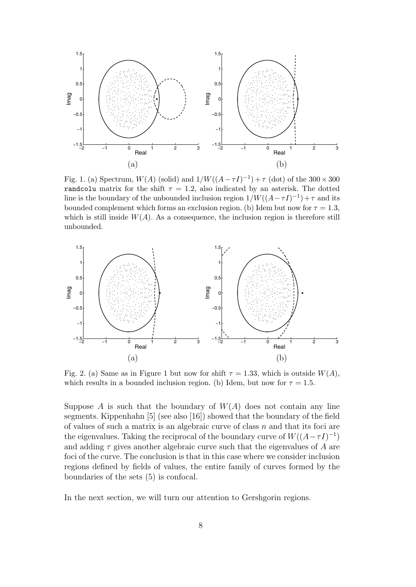

Fig. 1. (a) Spectrum,  $W(A)$  (solid) and  $1/W((A - \tau I)^{-1}) + \tau$  (dot) of the 300 × 300 randcolu matrix for the shift  $\tau = 1.2$ , also indicated by an asterisk. The dotted line is the boundary of the unbounded inclusion region  $1/W((A - \tau I)^{-1}) + \tau$  and its bounded complement which forms an exclusion region. (b) Idem but now for  $\tau = 1.3$ , which is still inside  $W(A)$ . As a consequence, the inclusion region is therefore still unbounded.



Fig. 2. (a) Same as in Figure 1 but now for shift  $\tau = 1.33$ , which is outside  $W(A)$ , which results in a bounded inclusion region. (b) Idem, but now for  $\tau = 1.5$ .

Suppose A is such that the boundary of  $W(A)$  does not contain any line segments. Kippenhahn [5] (see also [16]) showed that the boundary of the field of values of such a matrix is an algebraic curve of class  $n$  and that its foci are the eigenvalues. Taking the reciprocal of the boundary curve of  $W((A - \tau I)^{-1})$ and adding  $\tau$  gives another algebraic curve such that the eigenvalues of A are foci of the curve. The conclusion is that in this case where we consider inclusion regions defined by fields of values, the entire family of curves formed by the boundaries of the sets (5) is confocal.

In the next section, we will turn our attention to Gershgorin regions.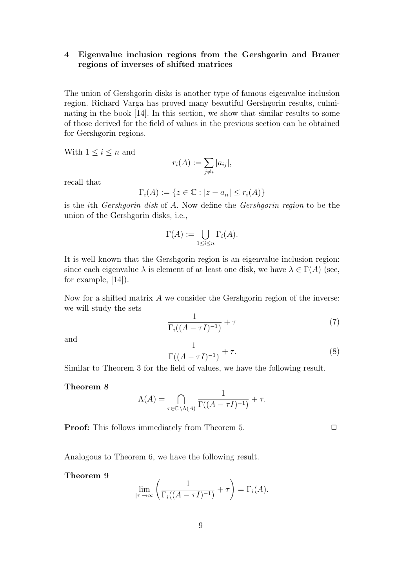# 4 Eigenvalue inclusion regions from the Gershgorin and Brauer regions of inverses of shifted matrices

The union of Gershgorin disks is another type of famous eigenvalue inclusion region. Richard Varga has proved many beautiful Gershgorin results, culminating in the book [14]. In this section, we show that similar results to some of those derived for the field of values in the previous section can be obtained for Gershgorin regions.

With  $1 \leq i \leq n$  and

$$
r_i(A) := \sum_{j \neq i} |a_{ij}|,
$$

recall that

$$
\Gamma_i(A) := \{ z \in \mathbb{C} : |z - a_{ii}| \le r_i(A) \}
$$

is the ith Gershgorin disk of A. Now define the Gershgorin region to be the union of the Gershgorin disks, i.e.,

$$
\Gamma(A) := \bigcup_{1 \le i \le n} \Gamma_i(A).
$$

It is well known that the Gershgorin region is an eigenvalue inclusion region: since each eigenvalue  $\lambda$  is element of at least one disk, we have  $\lambda \in \Gamma(A)$  (see, for example, [14]).

Now for a shifted matrix  $A$  we consider the Gershgorin region of the inverse: we will study the sets

$$
\frac{1}{\Gamma_i((A-\tau I)^{-1})} + \tau \tag{7}
$$

and

$$
\frac{1}{\Gamma((A-\tau I)^{-1})} + \tau.
$$
 (8)

Similar to Theorem 3 for the field of values, we have the following result.

Theorem 8

$$
\Lambda(A) = \bigcap_{\tau \in \mathbb{C} \backslash \Lambda(A)} \frac{1}{\Gamma((A - \tau I)^{-1})} + \tau.
$$

**Proof:** This follows immediately from Theorem 5.  $\Box$ 

Analogous to Theorem 6, we have the following result.

#### Theorem 9

$$
\lim_{|\tau| \to \infty} \left( \frac{1}{\Gamma_i((A - \tau I)^{-1})} + \tau \right) = \Gamma_i(A).
$$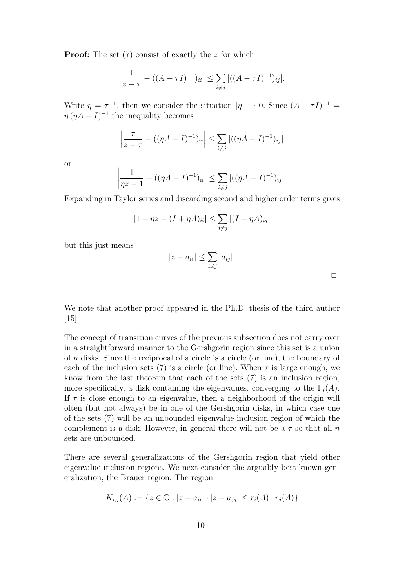**Proof:** The set  $(7)$  consist of exactly the z for which

$$
\left|\frac{1}{z-\tau} - ((A-\tau I)^{-1})_{ii}\right| \leq \sum_{i \neq j} |((A-\tau I)^{-1})_{ij}|.
$$

Write  $\eta = \tau^{-1}$ , then we consider the situation  $|\eta| \to 0$ . Since  $(A - \tau I)^{-1} =$  $\eta (\eta A - I)^{-1}$  the inequality becomes

$$
\left|\frac{\tau}{z-\tau} - ((\eta A - I)^{-1})_{ii}\right| \le \sum_{i \ne j} |((\eta A - I)^{-1})_{ij}|
$$

or

$$
\left|\frac{1}{\eta z - 1} - ((\eta A - I)^{-1})_{ii}\right| \le \sum_{i \ne j} |((\eta A - I)^{-1})_{ij}|.
$$

Expanding in Taylor series and discarding second and higher order terms gives

$$
|1 + \eta z - (I + \eta A)_{ii}| \le \sum_{i \ne j} |(I + \eta A)_{ij}|
$$

but this just means

$$
|z - a_{ii}| \leq \sum_{i \neq j} |a_{ij}|.
$$

 $\Box$ 

We note that another proof appeared in the Ph.D. thesis of the third author [15].

The concept of transition curves of the previous subsection does not carry over in a straightforward manner to the Gershgorin region since this set is a union of n disks. Since the reciprocal of a circle is a circle (or line), the boundary of each of the inclusion sets (7) is a circle (or line). When  $\tau$  is large enough, we know from the last theorem that each of the sets (7) is an inclusion region, more specifically, a disk containing the eigenvalues, converging to the  $\Gamma_i(A)$ . If  $\tau$  is close enough to an eigenvalue, then a neighborhood of the origin will often (but not always) be in one of the Gershgorin disks, in which case one of the sets (7) will be an unbounded eigenvalue inclusion region of which the complement is a disk. However, in general there will not be a  $\tau$  so that all n sets are unbounded.

There are several generalizations of the Gershgorin region that yield other eigenvalue inclusion regions. We next consider the arguably best-known generalization, the Brauer region. The region

$$
K_{i,j}(A) := \{ z \in \mathbb{C} : |z - a_{ii}| \cdot |z - a_{jj}| \le r_i(A) \cdot r_j(A) \}
$$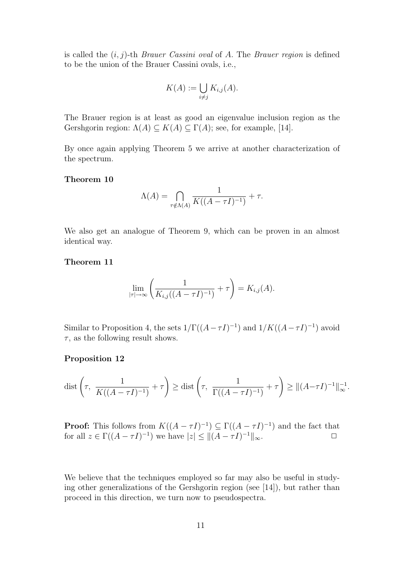is called the  $(i, j)$ -th *Brauer Cassini oval* of A. The *Brauer region* is defined to be the union of the Brauer Cassini ovals, i.e.,

$$
K(A) := \bigcup_{i \neq j} K_{i,j}(A).
$$

The Brauer region is at least as good an eigenvalue inclusion region as the Gershgorin region:  $\Lambda(A) \subseteq K(A) \subseteq \Gamma(A)$ ; see, for example, [14].

By once again applying Theorem 5 we arrive at another characterization of the spectrum.

## Theorem 10

$$
\Lambda(A) = \bigcap_{\tau \notin \Lambda(A)} \frac{1}{K((A - \tau I)^{-1})} + \tau.
$$

We also get an analogue of Theorem 9, which can be proven in an almost identical way.

#### Theorem 11

$$
\lim_{|\tau| \to \infty} \left( \frac{1}{K_{i,j}((A - \tau I)^{-1})} + \tau \right) = K_{i,j}(A).
$$

Similar to Proposition 4, the sets  $1/\Gamma((A-\tau I)^{-1})$  and  $1/K((A-\tau I)^{-1})$  avoid  $\tau$ , as the following result shows.

#### Proposition 12

$$
\text{dist}\left(\tau, \ \frac{1}{K((A-\tau I)^{-1})} + \tau\right) \ge \text{dist}\left(\tau, \ \frac{1}{\Gamma((A-\tau I)^{-1})} + \tau\right) \ge \|(A-\tau I)^{-1}\|_{\infty}^{-1}.
$$

**Proof:** This follows from  $K((A - \tau I)^{-1}) \subseteq \Gamma((A - \tau I)^{-1})$  and the fact that for all  $z \in \Gamma((A - \tau I)^{-1})$  we have  $|z| \leq ||(A - \tau I)^{-1}||_{\infty}$ .

We believe that the techniques employed so far may also be useful in studying other generalizations of the Gershgorin region (see [14]), but rather than proceed in this direction, we turn now to pseudospectra.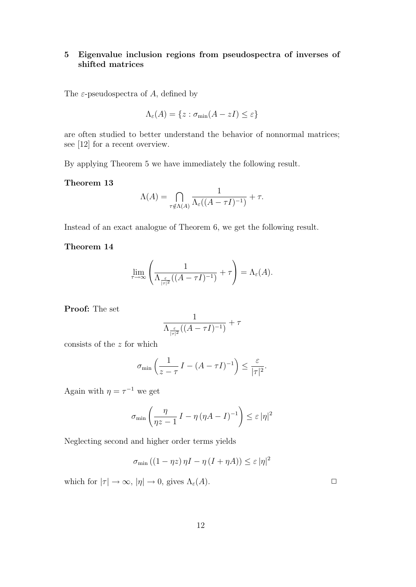# 5 Eigenvalue inclusion regions from pseudospectra of inverses of shifted matrices

The  $\varepsilon$ -pseudospectra of A, defined by

$$
\Lambda_{\varepsilon}(A) = \{ z : \sigma_{\min}(A - zI) \le \varepsilon \}
$$

are often studied to better understand the behavior of nonnormal matrices; see [12] for a recent overview.

By applying Theorem 5 we have immediately the following result.

# Theorem 13

$$
\Lambda(A) = \bigcap_{\tau \notin \Lambda(A)} \frac{1}{\Lambda_{\varepsilon}((A - \tau I)^{-1})} + \tau.
$$

Instead of an exact analogue of Theorem 6, we get the following result.

# Theorem 14

$$
\lim_{\tau \to \infty} \left( \frac{1}{\Lambda_{\frac{\varepsilon}{|\tau|^2}}((A - \tau I)^{-1})} + \tau \right) = \Lambda_{\varepsilon}(A).
$$

Proof: The set

$$
\frac{1}{\Lambda_{\frac{\varepsilon}{|\tau|^2}}((A-\tau I)^{-1})} + \tau
$$

consists of the z for which

$$
\sigma_{\min}\left(\frac{1}{z-\tau}\,I-(A-\tau I)^{-1}\right)\leq \frac{\varepsilon}{|\tau|^2}.
$$

Again with  $\eta = \tau^{-1}$  we get

$$
\sigma_{\min}\left(\frac{\eta}{\eta z - 1} I - \eta \left(\eta A - I\right)^{-1}\right) \leq \varepsilon |\eta|^2
$$

Neglecting second and higher order terms yields

$$
\sigma_{\min} ((1 - \eta z) \eta I - \eta (I + \eta A)) \le \varepsilon |\eta|^2
$$

which for  $|\tau| \to \infty$ ,  $|\eta| \to 0$ , gives  $\Lambda_{\varepsilon}(A)$ .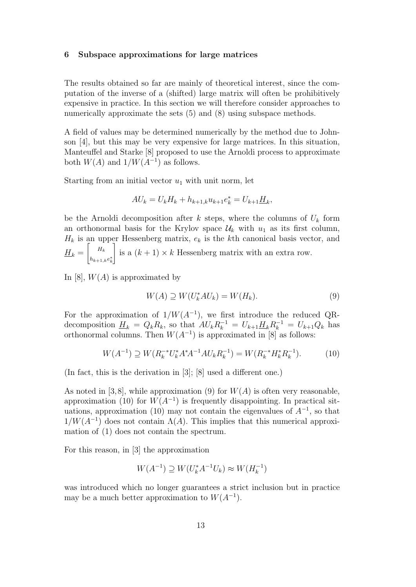# 6 Subspace approximations for large matrices

The results obtained so far are mainly of theoretical interest, since the computation of the inverse of a (shifted) large matrix will often be prohibitively expensive in practice. In this section we will therefore consider approaches to numerically approximate the sets  $(5)$  and  $(8)$  using subspace methods.

A field of values may be determined numerically by the method due to Johnson [4], but this may be very expensive for large matrices. In this situation, Manteuffel and Starke [8] proposed to use the Arnoldi process to approximate both  $W(A)$  and  $1/W(A^{-1})$  as follows.

Starting from an initial vector  $u_1$  with unit norm, let

$$
AU_k = U_k H_k + h_{k+1,k} u_{k+1} e_k^* = U_{k+1} \underline{H}_k,
$$

be the Arnoldi decomposition after k steps, where the columns of  $U_k$  form an orthonormal basis for the Krylov space  $\mathcal{U}_k$  with  $u_1$  as its first column,  $H_k$  is an upper Hessenberg matrix,  $e_k$  is the kth canonical basis vector, and  $H_k = \begin{bmatrix} H_k \end{bmatrix}$  $h_{k+1,k}e_k^*$ is a  $(k+1) \times k$  Hessenberg matrix with an extra row.

In [8],  $W(A)$  is approximated by

$$
W(A) \supseteq W(U_k^* A U_k) = W(H_k). \tag{9}
$$

For the approximation of  $1/W(A^{-1})$ , we first introduce the reduced QRdecomposition  $\underline{H}_k = Q_k R_k$ , so that  $A U_k R_k^{-1} = U_{k+1} \underline{H}_k R_k^{-1} = U_{k+1} Q_k$  has orthonormal columns. Then  $W(A^{-1})$  is approximated in [8] as follows:

$$
W(A^{-1}) \supseteq W(R_k^{-*}U_k^*A^*A^{-1}AU_kR_k^{-1}) = W(R_k^{-*}H_k^*R_k^{-1}).\tag{10}
$$

(In fact, this is the derivation in [3]; [8] used a different one.)

As noted in [3,8], while approximation (9) for  $W(A)$  is often very reasonable, approximation (10) for  $W(A^{-1})$  is frequently disappointing. In practical situations, approximation (10) may not contain the eigenvalues of  $A^{-1}$ , so that  $1/W(A^{-1})$  does not contain  $\Lambda(A)$ . This implies that this numerical approximation of (1) does not contain the spectrum.

For this reason, in [3] the approximation

$$
W(A^{-1}) \supseteq W(U_k^* A^{-1} U_k) \approx W(H_k^{-1})
$$

was introduced which no longer guarantees a strict inclusion but in practice may be a much better approximation to  $W(A^{-1})$ .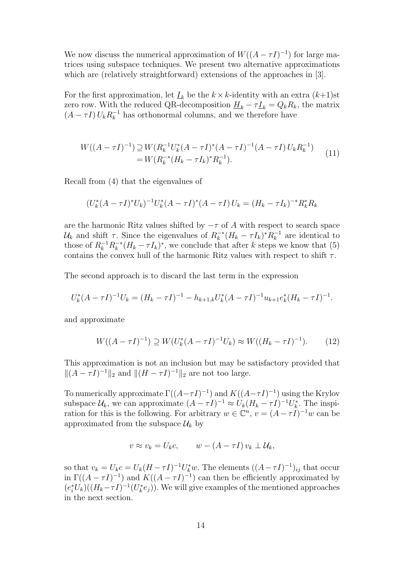We now discuss the numerical approximation of  $W((A - \tau I)^{-1})$  for large matrices using subspace techniques. We present two alternative approximations which are (relatively straightforward) extensions of the approaches in [3].

For the first approximation, let  $I_k$  be the  $k \times k$ -identity with an extra  $(k+1)$ st zero row. With the reduced QR-decomposition  $\underline{H}_k - \tau \underline{I}_k = Q_k R_k$ , the matrix  $(A - \tau I) U_k R_k^{-1}$  has orthonormal columns, and we therefore have

$$
W((A - \tau I)^{-1}) \supseteq W(R_k^{-1} U_k^* (A - \tau I)^* (A - \tau I)^{-1} (A - \tau I) U_k R_k^{-1})
$$
  
= 
$$
W(R_k^{-*} (H_k - \tau I_k)^* R_k^{-1}).
$$
 (11)

Recall from (4) that the eigenvalues of

$$
(U_k^*(A - \tau I)^* U_k)^{-1} U_k^*(A - \tau I)^*(A - \tau I) U_k = (H_k - \tau I_k)^{-*} R_k^* R_k
$$

are the harmonic Ritz values shifted by  $-\tau$  of A with respect to search space  $\mathcal{U}_k$  and shift  $\tau$ . Since the eigenvalues of  $R_k^{-*}$  $k_k^{-*}(H_k - \tau I_k)^* R_k^{-1}$  are identical to those of  $R_k^{-1}R_k^{-*}$  $\bar{k}_{k}^{*}(H_{k}-\tau I_{k})^{*}$ , we conclude that after k steps we know that (5) contains the convex hull of the harmonic Ritz values with respect to shift  $\tau$ .

The second approach is to discard the last term in the expression

$$
U_k^*(A - \tau I)^{-1}U_k = (H_k - \tau I)^{-1} - h_{k+1,k}U_k^*(A - \tau I)^{-1}u_{k+1}e_k^*(H_k - \tau I)^{-1}.
$$

and approximate

$$
W((A - \tau I)^{-1}) \supseteq W(U_k^*(A - \tau I)^{-1}U_k) \approx W((H_k - \tau I)^{-1}).\tag{12}
$$

This approximation is not an inclusion but may be satisfactory provided that  $||(A - \tau I)^{-1}||_2$  and  $||(H - \tau I)^{-1}||_2$  are not too large.

To numerically approximate  $\Gamma((A-\tau I)^{-1})$  and  $K((A-\tau I)^{-1})$  using the Krylov subspace  $\mathcal{U}_k$ , we can approximate  $(A - \tau I)^{-1} \approx U_k (H_k - \tau I)^{-1} U_k^*$ . The inspiration for this is the following. For arbitrary  $w \in \mathbb{C}^n$ ,  $v = (A - \tau I)^{-1}w$  can be approximated from the subspace  $\mathcal{U}_k$  by

$$
v \approx v_k = U_k c, \qquad w - (A - \tau I) v_k \perp \mathcal{U}_k,
$$

so that  $v_k = U_k c = U_k (H - \tau I)^{-1} U_k^* w$ . The elements  $((A - \tau I)^{-1})_{ij}$  that occur in  $\Gamma((A - \tau I)^{-1})$  and  $K((A - \tau I)^{-1})$  can then be efficiently approximated by  $(e_i^*U_k)((H_k-\tau I)^{-1}(U_k^*e_j)).$  We will give examples of the mentioned approaches in the next section.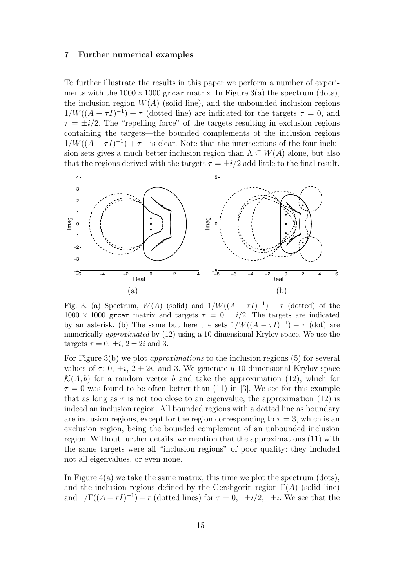#### 7 Further numerical examples

To further illustrate the results in this paper we perform a number of experiments with the  $1000 \times 1000$  grear matrix. In Figure 3(a) the spectrum (dots), the inclusion region  $W(A)$  (solid line), and the unbounded inclusion regions  $1/W((A - \tau I)^{-1}) + \tau$  (dotted line) are indicated for the targets  $\tau = 0$ , and  $\tau = \pm i/2$ . The "repelling force" of the targets resulting in exclusion regions containing the targets—the bounded complements of the inclusion regions  $1/W((A - \tau I)^{-1}) + \tau$ —is clear. Note that the intersections of the four inclusion sets gives a much better inclusion region than  $\Lambda \subseteq W(A)$  alone, but also that the regions derived with the targets  $\tau = \pm i/2$  add little to the final result.



Fig. 3. (a) Spectrum,  $W(A)$  (solid) and  $1/W((A - \tau I)^{-1}) + \tau$  (dotted) of the  $1000 \times 1000$  grear matrix and targets  $\tau = 0, \pm i/2$ . The targets are indicated by an asterisk. (b) The same but here the sets  $1/W((A - \tau I)^{-1}) + \tau$  (dot) are numerically approximated by (12) using a 10-dimensional Krylov space. We use the targets  $\tau = 0, \pm i, 2 \pm 2i$  and 3.

For Figure 3(b) we plot approximations to the inclusion regions (5) for several values of  $\tau: 0, \pm i, 2 \pm 2i$ , and 3. We generate a 10-dimensional Krylov space  $\mathcal{K}(A, b)$  for a random vector b and take the approximation (12), which for  $\tau = 0$  was found to be often better than (11) in [3]. We see for this example that as long as  $\tau$  is not too close to an eigenvalue, the approximation (12) is indeed an inclusion region. All bounded regions with a dotted line as boundary are inclusion regions, except for the region corresponding to  $\tau = 3$ , which is an exclusion region, being the bounded complement of an unbounded inclusion region. Without further details, we mention that the approximations (11) with the same targets were all "inclusion regions" of poor quality: they included not all eigenvalues, or even none.

In Figure  $4(a)$  we take the same matrix; this time we plot the spectrum (dots), and the inclusion regions defined by the Gershgorin region  $\Gamma(A)$  (solid line) and  $1/\Gamma((A - \tau I)^{-1}) + \tau$  (dotted lines) for  $\tau = 0$ ,  $\pm i/2$ ,  $\pm i$ . We see that the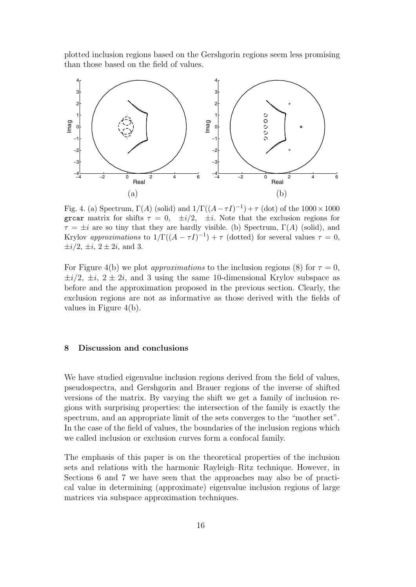plotted inclusion regions based on the Gershgorin regions seem less promising than those based on the field of values.



Fig. 4. (a) Spectrum,  $\Gamma(A)$  (solid) and  $1/\Gamma((A-\tau I)^{-1})+\tau$  (dot) of the  $1000\times1000$ grear matrix for shifts  $\tau = 0$ ,  $\pm i/2$ ,  $\pm i$ . Note that the exclusion regions for  $\tau = \pm i$  are so tiny that they are hardly visible. (b) Spectrum,  $\Gamma(A)$  (solid), and Krylov approximations to  $1/\Gamma((A - \tau I)^{-1}) + \tau$  (dotted) for several values  $\tau = 0$ ,  $\pm i/2, \pm i, 2 \pm 2i, \text{ and } 3.$ 

For Figure 4(b) we plot *approximations* to the inclusion regions (8) for  $\tau = 0$ ,  $\pm i/2$ ,  $\pm i$ ,  $2 \pm 2i$ , and 3 using the same 10-dimensional Krylov subspace as before and the approximation proposed in the previous section. Clearly, the exclusion regions are not as informative as those derived with the fields of values in Figure 4(b).

# 8 Discussion and conclusions

We have studied eigenvalue inclusion regions derived from the field of values, pseudospectra, and Gershgorin and Brauer regions of the inverse of shifted versions of the matrix. By varying the shift we get a family of inclusion regions with surprising properties: the intersection of the family is exactly the spectrum, and an appropriate limit of the sets converges to the "mother set". In the case of the field of values, the boundaries of the inclusion regions which we called inclusion or exclusion curves form a confocal family.

The emphasis of this paper is on the theoretical properties of the inclusion sets and relations with the harmonic Rayleigh–Ritz technique. However, in Sections 6 and 7 we have seen that the approaches may also be of practical value in determining (approximate) eigenvalue inclusion regions of large matrices via subspace approximation techniques.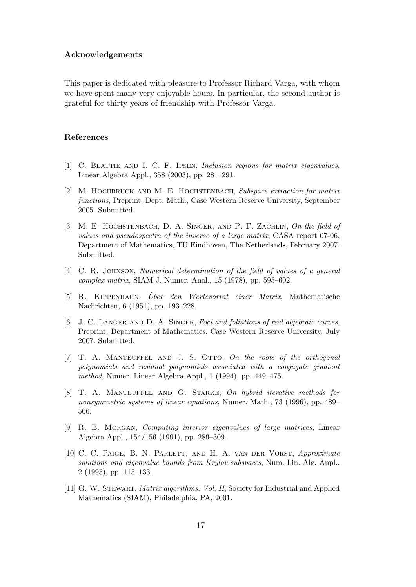#### Acknowledgements

This paper is dedicated with pleasure to Professor Richard Varga, with whom we have spent many very enjoyable hours. In particular, the second author is grateful for thirty years of friendship with Professor Varga.

# References

- [1] C. Beattie and I. C. F. Ipsen, Inclusion regions for matrix eigenvalues, Linear Algebra Appl., 358 (2003), pp. 281–291.
- [2] M. Hochbruck and M. E. Hochstenbach, Subspace extraction for matrix functions, Preprint, Dept. Math., Case Western Reserve University, September 2005. Submitted.
- [3] M. E. HOCHSTENBACH, D. A. SINGER, AND P. F. ZACHLIN, On the field of values and pseudospectra of the inverse of a large matrix, CASA report 07-06, Department of Mathematics, TU Eindhoven, The Netherlands, February 2007. Submitted.
- [4] C. R. Johnson, Numerical determination of the field of values of a general complex matrix, SIAM J. Numer. Anal., 15 (1978), pp. 595–602.
- [5] R. KIPPENHAHN, Über den Wertevorrat einer Matrix, Mathematische Nachrichten, 6 (1951), pp. 193–228.
- [6] J. C. LANGER AND D. A. SINGER, Foci and foliations of real algebraic curves, Preprint, Department of Mathematics, Case Western Reserve University, July 2007. Submitted.
- [7] T. A. Manteuffel and J. S. Otto, On the roots of the orthogonal polynomials and residual polynomials associated with a conjugate gradient method, Numer. Linear Algebra Appl., 1 (1994), pp. 449–475.
- [8] T. A. Manteuffel and G. Starke, On hybrid iterative methods for nonsymmetric systems of linear equations, Numer. Math., 73 (1996), pp. 489– 506.
- [9] R. B. Morgan, Computing interior eigenvalues of large matrices, Linear Algebra Appl., 154/156 (1991), pp. 289–309.
- [10] C. C. Paige, B. N. Parlett, and H. A. van der Vorst, Approximate solutions and eigenvalue bounds from Krylov subspaces, Num. Lin. Alg. Appl., 2 (1995), pp. 115–133.
- [11] G. W. Stewart, Matrix algorithms. Vol. II, Society for Industrial and Applied Mathematics (SIAM), Philadelphia, PA, 2001.